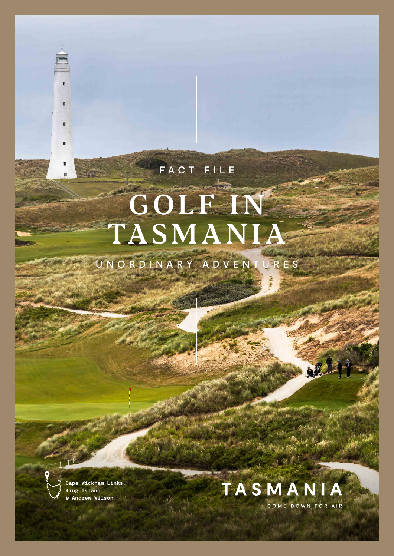# GOLF IN TASMANIA

FACT FILE

UNORDINARY ADVENTURES

**Cape Wickham Links, King Island © Andrew Wilson**

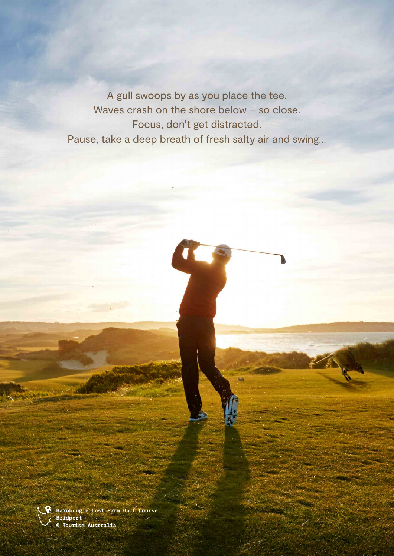A gull swoops by as you place the tee. Waves crash on the shore below – so close. Focus, don't get distracted. Pause, take a deep breath of fresh salty air and swing…



**Barnbougle Lost Farm Golf Course, Bridport © Tourism Australia**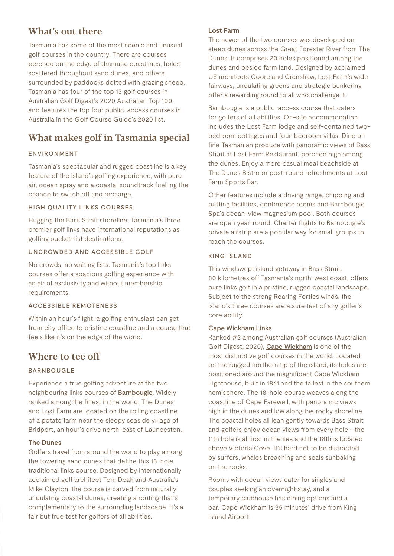## What's out there

Tasmania has some of the most scenic and unusual golf courses in the country. There are courses perched on the edge of dramatic coastlines, holes scattered throughout sand dunes, and others surrounded by paddocks dotted with grazing sheep. Tasmania has four of the top 13 golf courses in Australian Golf Digest's 2020 Australian Top 100, and features the top four public-access courses in Australia in the Golf Course Guide's 2020 list.

# What makes golf in Tasmania special

#### ENVIRONMENT

Tasmania's spectacular and rugged coastline is a key feature of the island's golfing experience, with pure air, ocean spray and a coastal soundtrack fuelling the chance to switch off and recharge.

#### HIGH QUALITY LINKS COURSES

Hugging the Bass Strait shoreline, Tasmania's three premier golf links have international reputations as golfing bucket-list destinations.

#### UNCROWDED AND ACCESSIBLE GOLF

No crowds, no waiting lists. Tasmania's top links courses offer a spacious golfing experience with an air of exclusivity and without membership requirements.

#### ACCESSIBLE REMOTENESS

Within an hour's flight, a golfing enthusiast can get from city office to pristine coastline and a course that feels like it's on the edge of the world.

## Where to tee off

#### BARNBOUGLE

Experience a true golfing adventure at the two neighbouring links courses of [Barnbougle](https://barnbougle.com.au). Widely ranked among the finest in the world, The Dunes and Lost Farm are located on the rolling coastline of a potato farm near the sleepy seaside village of Bridport, an hour's drive north-east of Launceston.

#### **The Dunes**

Golfers travel from around the world to play among the towering sand dunes that define this 18-hole traditional links course. Designed by internationally acclaimed golf architect Tom Doak and Australia's Mike Clayton, the course is carved from naturally undulating coastal dunes, creating a routing that's complementary to the surrounding landscape. It's a fair but true test for golfers of all abilities.

#### **Lost Farm**

The newer of the two courses was developed on steep dunes across the Great Forester River from The Dunes. It comprises 20 holes positioned among the dunes and beside farm land. Designed by acclaimed US architects Coore and Crenshaw, Lost Farm's wide fairways, undulating greens and strategic bunkering offer a rewarding round to all who challenge it.

Barnbougle is a public-access course that caters for golfers of all abilities. On-site accommodation includes the Lost Farm lodge and self-contained twobedroom cottages and four-bedroom villas. Dine on fine Tasmanian produce with panoramic views of Bass Strait at Lost Farm Restaurant, perched high among the dunes. Enjoy a more casual meal beachside at The Dunes Bistro or post-round refreshments at Lost Farm Sports Bar.

Other features include a driving range, chipping and putting facilities, conference rooms and Barnbougle Spa's ocean-view magnesium pool. Both courses are open year-round. Charter flights to Barnbougle's private airstrip are a popular way for small groups to reach the courses.

#### KING ISLAND

This windswept island getaway in Bass Strait, 80 kilometres off Tasmania's north-west coast, offers pure links golf in a pristine, rugged coastal landscape. Subject to the strong Roaring Forties winds, the island's three courses are a sure test of any golfer's core ability.

#### Cape Wickham Links

Ranked #2 among Australian golf courses (Australian Golf Digest, 2020), [Cape Wickham](https://capewickham.com.au) is one of the most distinctive golf courses in the world. Located on the rugged northern tip of the island, its holes are positioned around the magnificent Cape Wickham Lighthouse, built in 1861 and the tallest in the southern hemisphere. The 18-hole course weaves along the coastline of Cape Farewell, with panoramic views high in the dunes and low along the rocky shoreline. The coastal holes all lean gently towards Bass Strait and golfers enjoy ocean views from every hole - the 11th hole is almost in the sea and the 18th is located above Victoria Cove. It's hard not to be distracted by surfers, whales breaching and seals sunbaking on the rocks.

Rooms with ocean views cater for singles and couples seeking an overnight stay, and a temporary clubhouse has dining options and a bar. Cape Wickham is 35 minutes' drive from King Island Airport.